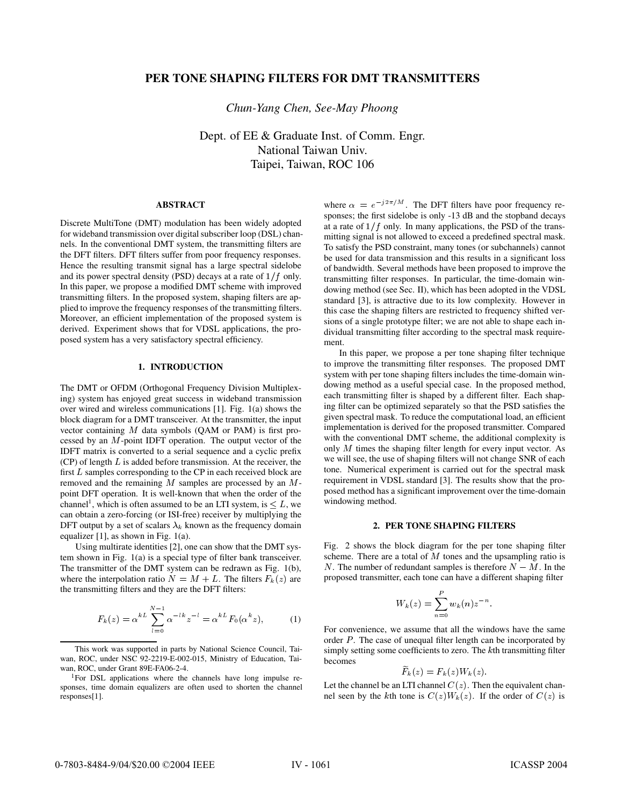# **PER TONE SHAPING FILTERS FOR DMT TRANSMITTERS**

*Chun-Yang Chen, See-May Phoong*

Dept. of EE & Graduate Inst. of Comm. Engr. National Taiwan Univ. Taipei, Taiwan, ROC 106

## **ABSTRACT**

Discrete MultiTone (DMT) modulation has been widely adopted for wideband transmission over digital subscriber loop (DSL) channels. In the conventional DMT system, the transmitting filters are the DFT filters. DFT filters suffer from poor frequency responses. Hence the resulting transmit signal has a large spectral sidelobe and its power spectral density (PSD) decays at a rate of  $1/f$  only. In this paper, we propose a modified DMT scheme with improved transmitting filters. In the proposed system, shaping filters are applied to improve the frequency responses of the transmitting filters. Moreover, an efficient implementation of the proposed system is derived. Experiment shows that for VDSL applications, the proposed system has a very satisfactory spectral efficiency.

#### **1. INTRODUCTION**

The DMT or OFDM (Orthogonal Frequency Division Multiplexing) system has enjoyed great success in wideband transmission over wired and wireless communications [1]. Fig. 1(a) shows the block diagram for a DMT transceiver. At the transmitter, the input vector containing  $M$  data symbols (QAM or PAM) is first processed by an  $M$ -point IDFT operation. The output vector of the IDFT matrix is converted to a serial sequence and a cyclic prefix  $(CP)$  of length  $L$  is added before transmission. At the receiver, the first  $L$  samples corresponding to the CP in each received block are removed and the remaining  $M$  samples are processed by an  $M$ point DFT operation. It is well-known that when the order of the channel<sup>1</sup>, which is often assumed to be an LTI system, is  $\leq L$ , we <sup>W.</sup> can obtain a zero-forcing (or ISI-free) receiver by multiplying the DFT output by a set of scalars  $\lambda_k$  known as the frequency domain equalizer [1], as shown in Fig. 1(a).

Using multirate identities [2], one can show that the DMT system shown in Fig. 1(a) is a special type of filter bank transceiver. The transmitter of the DMT system can be redrawn as Fig. 1(b), where the interpolation ratio  $N = M + L$ . The filters  $F_k(z)$  are the transmitting filters and they are the DFT filters:

$$
F_k(z) = \alpha^{kL} \sum_{l=0}^{N-1} \alpha^{-lk} z^{-l} = \alpha^{kL} F_0(\alpha^k z), \quad (1)
$$

where  $\alpha = e^{-j2\pi/M}$ . The DFT filters have poor frequency responses; the first sidelobe is only -13 dB and the stopband decays at a rate of  $1/f$  only. In many applications, the PSD of the transmitting signal is not allowed to exceed a predefined spectral mask. To satisfy the PSD constraint, many tones (or subchannels) cannot be used for data transmission and this results in a significant loss of bandwidth. Several methods have been proposed to improve the transmitting filter responses. In particular, the time-domain windowing method (see Sec. II), which has been adopted in the VDSL standard [3], is attractive due to its low complexity. However in this case the shaping filters are restricted to frequency shifted versions of a single prototype filter; we are not able to shape each individual transmitting filter according to the spectral mask requirement.

In this paper, we propose a per tone shaping filter technique to improve the transmitting filter responses. The proposed DMT system with per tone shaping filters includes the time-domain windowing method as a useful special case. In the proposed method, each transmitting filter is shaped by a different filter. Each shaping filter can be optimized separately so that the PSD satisfies the given spectral mask. To reduce the computational load, an efficient implementation is derived for the proposed transmitter. Compared with the conventional DMT scheme, the additional complexity is only  $M$  times the shaping filter length for every input vector. As we will see, the use of shaping filters will not change SNR of each tone. Numerical experiment is carried out for the spectral mask requirement in VDSL standard [3]. The results show that the proposed method has a significant improvement over the time-domain windowing method.

### **2. PER TONE SHAPING FILTERS**

Fig. 2 shows the block diagram for the per tone shaping filter scheme. There are a total of  $M$  tones and the upsampling ratio is N. The number of redundant samples is therefore  $N - M$ . In the proposed transmitter, each tone can have a different shaping filter

$$
W_k(z)=\sum_{n=0}^P w_k(n)z^{-n}.
$$

For convenience, we assume that all the windows have the same order  $P$ . The case of unequal filter length can be incorporated by simply setting some coefficients to zero. The  $k$ th transmitting filter becomes

 $I'_{k}(z) = I'_{k}(z)$  if  $k(z)$ 

Let the channel be an LTI channel  $C(z)$ . Then the equivalent channel seen by the kth tone is  $C(z)W_k(z)$ . If the order of  $C(z)$  is

This work was supported in parts by National Science Council, Taiwan, ROC, under NSC 92-2219-E-002-015, Ministry of Education, Taiwan, ROC, under Grant 89E-FA06-2-4.

<sup>&</sup>lt;sup>1</sup>For DSL applications where the channels have long impulse responses, time domain equalizers are often used to shorten the channel responses[1].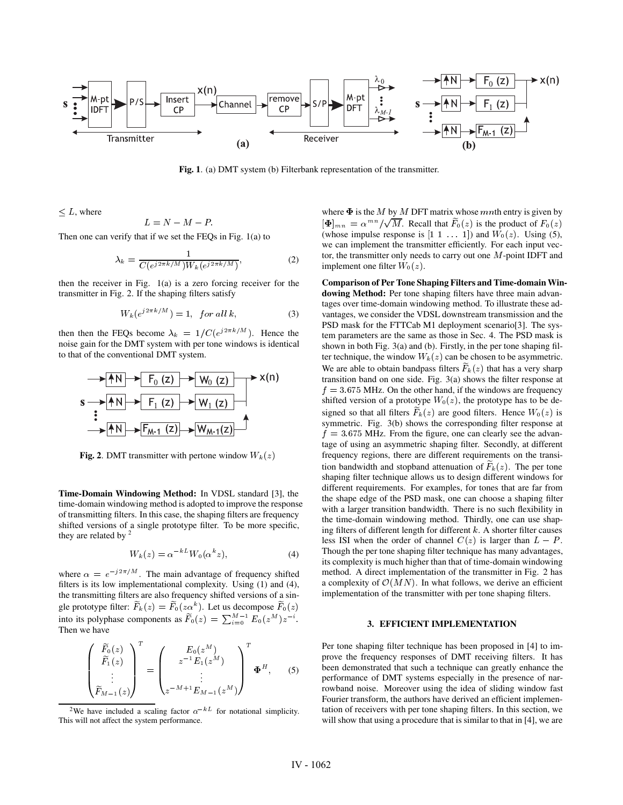

**Fig. 1**. (a) DMT system (b) Filterbank representation of the transmitter.

 $\leq L$ , where

$$
L=N-M-P
$$

Then one can verify that if we set the FEQs in Fig. 1(a) to

$$
\lambda_k = \frac{1}{C(e^{j2\pi k/M})W_k(e^{j2\pi k/M})},\tag{2}
$$

then the receiver in Fig. 1(a) is a zero forcing receiver for the transmitter in Fig. 2. If the shaping filters satisfy

$$
W_k(e^{j2\pi k/M}) = 1, \text{ for all } k,\tag{3}
$$

then then the FEQs become  $\lambda_k = 1/C(e^{j2\pi k/M})$ . Hence the noise gain for the DMT system with per tone windows is identical to that of the conventional DMT system.



**Fig. 2**. DMT transmitter with pertone window  $W_k(z)$ 

**Time-Domain Windowing Method:** In VDSL standard [3], the time-domain windowing method is adopted to improve the response of transmitting filters. In this case, the shaping filters are frequency shifted versions of a single prototype filter. To be more specific, they are related by  $2$ 

$$
W_k(z) = \alpha^{-k} W_0(\alpha^k z), \tag{4}
$$

where  $\alpha = e^{-\jmath 2\pi /M}$ . The main advantage of frequency shifted filters is its low implementational complexity. Using (1) and (4), the transmitting filters are also frequency shifted versions of a single prototype filter:  $F_k(z) = F_0(za^k)$ . Let us decompose  $F_0(z)$ <br>into its polyphase components as  $\widetilde{F}_0(z) = \sum_{i=0}^{M-1} E_0(z^M) z^{-i}$ . Then we have

$$
\begin{pmatrix}\n\widetilde{F}_0(z) \\
\widetilde{F}_1(z) \\
\vdots \\
\widetilde{F}_{M-1}(z)\n\end{pmatrix}^T = \begin{pmatrix}\nE_0(z^M) \\
z^{-1}E_1(z^M) \\
\vdots \\
z^{-M+1}E_{M-1}(z^M)\n\end{pmatrix}^T \Phi^H,
$$
\n(5)

<sup>2</sup>We have included a scaling factor  $\alpha^{-kL}$  for notational simplicity. This will not affect the system performance.

where  $\Phi$  is the M by M DFT matrix whose mnth entry is given by  $[\Phi]_{mn} = \alpha^{mn} / \sqrt{M}$ . Recall that  $F_0(z)$  is the product of  $F_0(z)$ (whose impulse response is  $[1 \ 1 \ \ldots \ 1]$ ) and  $W_0(z)$ . Using (5), we can implement the transmitter efficiently. For each input vector, the transmitter only needs to carry out one  $M$ -point IDFT and implement one filter  $W_0(z)$ .

**Comparison of Per Tone Shaping Filters and Time-domain Windowing Method:** Per tone shaping filters have three main advantages over time-domain windowing method. To illustrate these advantages, we consider the VDSL downstream transmission and the PSD mask for the FTTCab M1 deployment scenario[3]. The system parameters are the same as those in Sec. 4. The PSD mask is shown in both Fig. 3(a) and (b). Firstly, in the per tone shaping filter technique, the window  $W_k(z)$  can be chosen to be asymmetric. We are able to obtain bandpass filters  $F_k(z)$  that has a very sharp transition band on one side. Fig. 3(a) shows the filter response at  $f = 3.675$  MHz. On the other hand, if the windows are frequency shifted version of a prototype  $W_0(z)$ , the prototype has to be designed so that all filters  $F_k(z)$  are good filters. Hence  $W_0(z)$  is symmetric. Fig. 3(b) shows the corresponding filter response at  $f = 3.675$  MHz. From the figure, one can clearly see the advantage of using an asymmetric shaping filter. Secondly, at different frequency regions, there are different requirements on the transition bandwidth and stopband attenuation of  $F_k(z)$ . The per tone shaping filter technique allows us to design different windows for different requirements. For examples, for tones that are far from the shape edge of the PSD mask, one can choose a shaping filter with a larger transition bandwidth. There is no such flexibility in the time-domain windowing method. Thirdly, one can use shaping filters of different length for different  $k$ . A shorter filter causes less ISI when the order of channel  $C(z)$  is larger than  $L - P$ . Though the per tone shaping filter technique has many advantages, its complexity is much higher than that of time-domain windowing method. A direct implementation of the transmitter in Fig. 2 has a complexity of  $\mathcal{O}(MN)$ . In what follows, we derive an efficient implementation of the transmitter with per tone shaping filters.

#### **3. EFFICIENT IMPLEMENTATION**

Per tone shaping filter technique has been proposed in [4] to improve the frequency responses of DMT receiving filters. It has been demonstrated that such a technique can greatly enhance the performance of DMT systems especially in the presence of narrowband noise. Moreover using the idea of sliding window fast Fourier transform, the authors have derived an efficient implementation of receivers with per tone shaping filters. In this section, we will show that using a procedure that is similar to that in [4], we are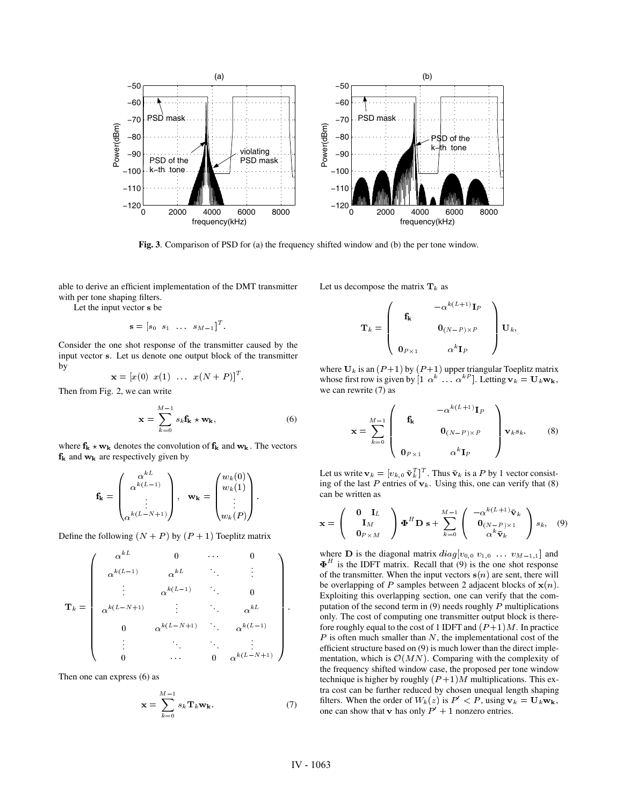

**Fig. 3**. Comparison of PSD for (a) the frequency shifted window and (b) the per tone window.

able to derive an efficient implementation of the DMT transmitter with per tone shaping filters.

Let the input vector s be

$$
\mathbf{s} = [s_0 \hspace*{1mm} s_1 \hspace*{1mm} \ldots \hspace*{1mm} s_{M-1}]^T.
$$

Consider the one shot response of the transmitter caused by the input vector s. Let us denote one output block of the transmitter by

$$
\mathbf{x} = [x(0) \ \ x(1) \ \ \ldots \ \ x(N+P)]^T.
$$

Then from Fig. 2, we can write

$$
\mathbf{x} = \sum_{k=0}^{M-1} s_k \mathbf{f_k} \star \mathbf{w_k},
$$
 (6)

where  $f_k \star w_k$  denotes the convolution of  $f_k$  and  $w_k$ . The vectors  $f_k$  and  $w_k$  are respectively given by

$$
\mathbf{f}_{\mathbf{k}} = \begin{pmatrix} \alpha^{kL} \\ \alpha^{k(L-1)} \\ \vdots \\ \alpha^{k(L-N+1)} \end{pmatrix}, \quad \mathbf{w}_{\mathbf{k}} = \begin{pmatrix} w_k(0) \\ w_k(1) \\ \vdots \\ w_k(P) \end{pmatrix}.
$$

Define the following  $(N + P)$  by  $(P + 1)$  Toeplitz matrix

$$
\mathbf{T}_k = \left(\begin{array}{ccccc} \alpha^{kL} & 0 & \cdots & 0 \\ \alpha^{k(L-1)} & \alpha^{kL} & \ddots & \vdots \\ \vdots & \alpha^{k(L-1)} & \ddots & 0 \\ \alpha^{k(L-N+1)} & \vdots & \ddots & \alpha^{kL} \\ 0 & \alpha^{k(L-N+1)} & \ddots & \alpha^{k(L-1)} \\ \vdots & \ddots & \ddots & \vdots \\ 0 & \cdots & 0 & \alpha^{k(L-N+1)} \end{array}\right).
$$

Then one can express (6) as

$$
\mathbf{x} = \sum_{k=0}^{M-1} s_k \mathbf{T}_k \mathbf{w}_k.
$$
 (7)

Let us decompose the matrix  $\mathbf{T}_k$  as

$$
\mathbf{T}_k = \left(\begin{array}{ccc} & -\alpha^{k(L+1)}\mathbf{I}_P \\ & & \\ & \mathbf{0}_{(N-P)\times P} \\ & & \\ \mathbf{0}_{P\times 1} & & \alpha^k\mathbf{I}_P \end{array}\right)\mathbf{U}_k,
$$

where  $U_k$  is an  $(P+1)$  by  $(P+1)$  upper triangular Toeplitz matrix whose first row is given by  $[1 \alpha^k \dots \alpha^{k}]$ . Letting  $v_k = U_k w_k$ , we can rewrite (7) as

$$
\mathbf{x} = \sum_{k=0}^{M-1} \begin{pmatrix} \mathbf{f_k} & -\alpha^{k(L+1)} \mathbf{I}_P \\ \mathbf{f_k} & \mathbf{0}_{(N-P)\times P} \\ \mathbf{0}_{P\times 1} & \alpha^k \mathbf{I}_P \end{pmatrix} \mathbf{v}_k s_k.
$$
 (8)

Let us write  $\mathbf{v}_k = [v_{k,0} \ \bar{\mathbf{v}}_k^T]^T$ . Thus  $\bar{\mathbf{v}}_k$  is a P by 1 vector consisting of the last P entries of  $v_k$ . Using this, one can verify that (8) can be written as

$$
\mathbf{x} = \begin{pmatrix} \mathbf{0} & \mathbf{I}_L \\ \mathbf{I}_M \\ \mathbf{0}_{P \times M} \end{pmatrix} \boldsymbol{\Phi}^H \mathbf{D} \mathbf{s} + \sum_{k=0}^{M-1} \begin{pmatrix} -\alpha^{k(L+1)} \bar{\mathbf{v}}_k \\ \mathbf{0}_{(N-P) \times 1} \\ \alpha^k \bar{\mathbf{v}}_k \end{pmatrix} s_k, \quad (9)
$$

where **D** is the diagonal matrix  $diag[v_{0,0} \ v_{1,0} \dots \ v_{M-1,1}]$  and of the transmitter. When the input vectors  $s(n)$  are sent, there will be overlapping of P samples between 2 adjacent blocks of  $\mathbf{x}(n)$ . Exploiting this overlapping section, one can verify that the computation of the second term in  $(9)$  needs roughly  $P$  multiplications only. The cost of computing one transmitter output block is therefore roughly equal to the cost of 1 IDFT and  $(P+1)M$ . In practice  $\Gamma$  is often much smaller than N, the implementational cost of the efficient structure based on (9) is much lower than the direct imple- $\Phi$ <sup>H</sup> is the IDFT matrix. Recall that (9) is the one shot response mentation, which is  $\mathcal{O}(MN)$ . Comparing with the complexity of the frequency shifted window case, the proposed per tone window technique is higher by roughly  $(P+1)M$  multiplications. This extra cost can be further reduced by chosen unequal length shaping filters. When the order of  $W_k(z)$  is  $P' < P$ , using  $v_k = U_k w_k$ , one can show that **v** has only  $P' + 1$  nonzero entries.